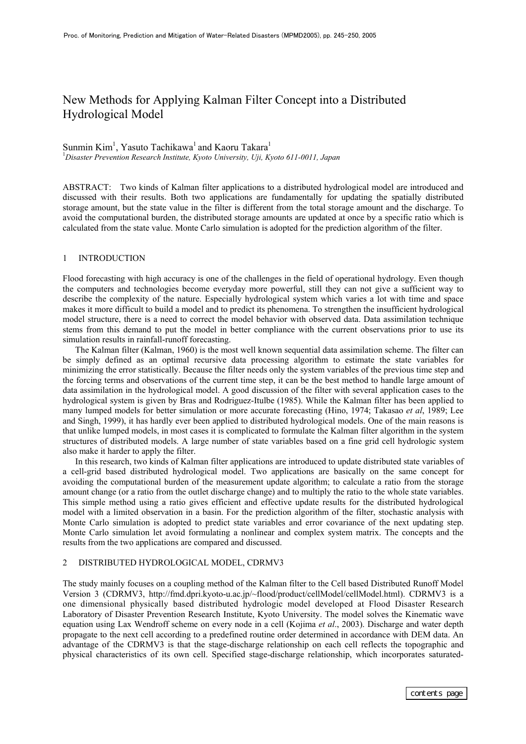## New Methods for Applying Kalman Filter Concept into a Distributed Hydrological Model

# Sunmin Kim<sup>1</sup>, Yasuto Tachikawa<sup>1</sup> and Kaoru Takara<sup>1</sup>

*Disaster Prevention Research Institute, Kyoto University, Uji, Kyoto 611-0011, Japan*

ABSTRACT: Two kinds of Kalman filter applications to a distributed hydrological model are introduced and discussed with their results. Both two applications are fundamentally for updating the spatially distributed storage amount, but the state value in the filter is different from the total storage amount and the discharge. To avoid the computational burden, the distributed storage amounts are updated at once by a specific ratio which is calculated from the state value. Monte Carlo simulation is adopted for the prediction algorithm of the filter.

## 1 INTRODUCTION

Flood forecasting with high accuracy is one of the challenges in the field of operational hydrology. Even though the computers and technologies become everyday more powerful, still they can not give a sufficient way to describe the complexity of the nature. Especially hydrological system which varies a lot with time and space makes it more difficult to build a model and to predict its phenomena. To strengthen the insufficient hydrological model structure, there is a need to correct the model behavior with observed data. Data assimilation technique stems from this demand to put the model in better compliance with the current observations prior to use its simulation results in rainfall-runoff forecasting.

The Kalman filter (Kalman, 1960) is the most well known sequential data assimilation scheme. The filter can be simply defined as an optimal recursive data processing algorithm to estimate the state variables for minimizing the error statistically. Because the filter needs only the system variables of the previous time step and the forcing terms and observations of the current time step, it can be the best method to handle large amount of data assimilation in the hydrological model. A good discussion of the filter with several application cases to the hydrological system is given by Bras and Rodriguez-Itulbe (1985). While the Kalman filter has been applied to many lumped models for better simulation or more accurate forecasting (Hino, 1974; Takasao *et al*, 1989; Lee and Singh, 1999), it has hardly ever been applied to distributed hydrological models. One of the main reasons is that unlike lumped models, in most cases it is complicated to formulate the Kalman filter algorithm in the system structures of distributed models. A large number of state variables based on a fine grid cell hydrologic system also make it harder to apply the filter.

In this research, two kinds of Kalman filter applications are introduced to update distributed state variables of a cell-grid based distributed hydrological model. Two applications are basically on the same concept for avoiding the computational burden of the measurement update algorithm; to calculate a ratio from the storage amount change (or a ratio from the outlet discharge change) and to multiply the ratio to the whole state variables. This simple method using a ratio gives efficient and effective update results for the distributed hydrological model with a limited observation in a basin. For the prediction algorithm of the filter, stochastic analysis with Monte Carlo simulation is adopted to predict state variables and error covariance of the next updating step. Monte Carlo simulation let avoid formulating a nonlinear and complex system matrix. The concepts and the results from the two applications are compared and discussed.

#### 2 DISTRIBUTED HYDROLOGICAL MODEL, CDRMV3

The study mainly focuses on a coupling method of the Kalman filter to the Cell based Distributed Runoff Model Version 3 (CDRMV3, http://fmd.dpri.kyoto-u.ac.jp/~flood/product/cellModel/cellModel.html). CDRMV3 is a one dimensional physically based distributed hydrologic model developed at Flood Disaster Research Laboratory of Disaster Prevention Research Institute, Kyoto University. The model solves the Kinematic wave equation using Lax Wendroff scheme on every node in a cell (Kojima *et al*., 2003). Discharge and water depth propagate to the next cell according to a predefined routine order determined in accordance with DEM data. An advantage of the CDRMV3 is that the stage-discharge relationship on each cell reflects the topographic and physical characteristics of its own cell. Specified stage-discharge relationship, which incorporates saturated-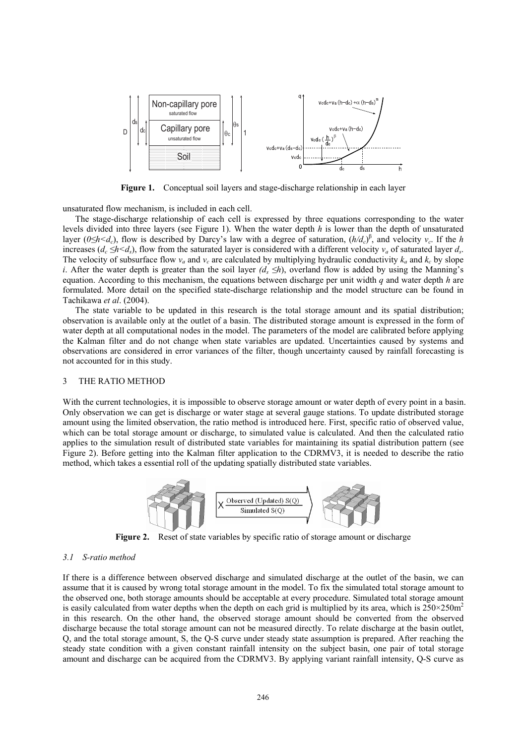

**Figure 1.** Conceptual soil layers and stage-discharge relationship in each layer

unsaturated flow mechanism, is included in each cell.

The stage-discharge relationship of each cell is expressed by three equations corresponding to the water levels divided into three layers (see Figure 1). When the water depth *h* is lower than the depth of unsaturated layer ( $0 \le h \le d_c$ ), flow is described by Darcy's law with a degree of saturation,  $(h/d_c)^{\beta}$ , and velocity  $v_c$ . If the *h* increases ( $d_c \le h \le d_s$ ), flow from the saturated layer is considered with a different velocity  $v_a$  of saturated layer  $d_s$ . The velocity of subsurface flow  $v_a$  and  $v_c$  are calculated by multiplying hydraulic conductivity  $k_a$  and  $k_c$  by slope *i*. After the water depth is greater than the soil layer  $(d_s \leq h)$ , overland flow is added by using the Manning's equation. According to this mechanism, the equations between discharge per unit width *q* and water depth *h* are formulated. More detail on the specified state-discharge relationship and the model structure can be found in Tachikawa *et al*. (2004).

The state variable to be updated in this research is the total storage amount and its spatial distribution; observation is available only at the outlet of a basin. The distributed storage amount is expressed in the form of water depth at all computational nodes in the model. The parameters of the model are calibrated before applying the Kalman filter and do not change when state variables are updated. Uncertainties caused by systems and observations are considered in error variances of the filter, though uncertainty caused by rainfall forecasting is not accounted for in this study.

#### 3 THE RATIO METHOD

With the current technologies, it is impossible to observe storage amount or water depth of every point in a basin. Only observation we can get is discharge or water stage at several gauge stations. To update distributed storage amount using the limited observation, the ratio method is introduced here. First, specific ratio of observed value, which can be total storage amount or discharge, to simulated value is calculated. And then the calculated ratio applies to the simulation result of distributed state variables for maintaining its spatial distribution pattern (see Figure 2). Before getting into the Kalman filter application to the CDRMV3, it is needed to describe the ratio method, which takes a essential roll of the updating spatially distributed state variables.



**Figure 2.** Reset of state variables by specific ratio of storage amount or discharge

#### *3.1 S-ratio method*

If there is a difference between observed discharge and simulated discharge at the outlet of the basin, we can assume that it is caused by wrong total storage amount in the model. To fix the simulated total storage amount to the observed one, both storage amounts should be acceptable at every procedure. Simulated total storage amount is easily calculated from water depths when the depth on each grid is multiplied by its area, which is  $250\times250m^2$ in this research. On the other hand, the observed storage amount should be converted from the observed discharge because the total storage amount can not be measured directly. To relate discharge at the basin outlet, Q, and the total storage amount, S, the Q-S curve under steady state assumption is prepared. After reaching the steady state condition with a given constant rainfall intensity on the subject basin, one pair of total storage amount and discharge can be acquired from the CDRMV3. By applying variant rainfall intensity, Q-S curve as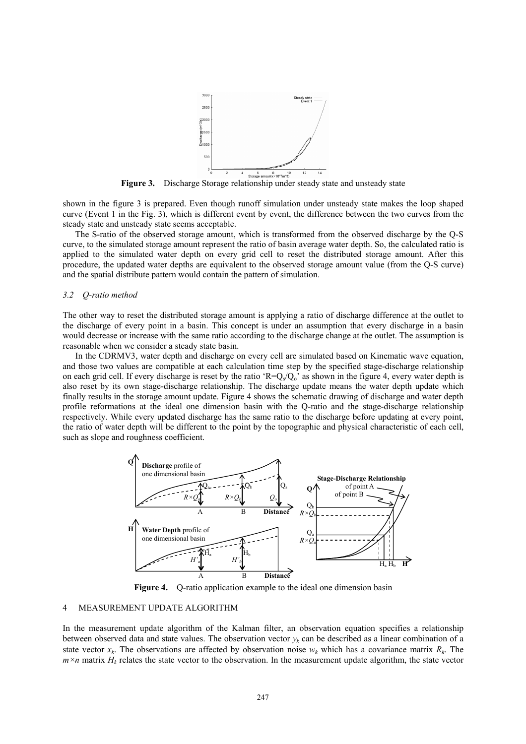

**Figure 3.** Discharge Storage relationship under steady state and unsteady state

shown in the figure 3 is prepared. Even though runoff simulation under unsteady state makes the loop shaped curve (Event 1 in the Fig. 3), which is different event by event, the difference between the two curves from the steady state and unsteady state seems acceptable.

The S-ratio of the observed storage amount, which is transformed from the observed discharge by the Q-S curve, to the simulated storage amount represent the ratio of basin average water depth. So, the calculated ratio is applied to the simulated water depth on every grid cell to reset the distributed storage amount. After this procedure, the updated water depths are equivalent to the observed storage amount value (from the Q-S curve) and the spatial distribute pattern would contain the pattern of simulation.

#### *3.2 Q-ratio method*

The other way to reset the distributed storage amount is applying a ratio of discharge difference at the outlet to the discharge of every point in a basin. This concept is under an assumption that every discharge in a basin would decrease or increase with the same ratio according to the discharge change at the outlet. The assumption is reasonable when we consider a steady state basin.

In the CDRMV3, water depth and discharge on every cell are simulated based on Kinematic wave equation, and those two values are compatible at each calculation time step by the specified stage-discharge relationship on each grid cell. If every discharge is reset by the ratio 'R= $Q_s/Q_o$ ' as shown in the figure 4, every water depth is also reset by its own stage-discharge relationship. The discharge update means the water depth update which finally results in the storage amount update. Figure 4 shows the schematic drawing of discharge and water depth profile reformations at the ideal one dimension basin with the Q-ratio and the stage-discharge relationship respectively. While every updated discharge has the same ratio to the discharge before updating at every point, the ratio of water depth will be different to the point by the topographic and physical characteristic of each cell, such as slope and roughness coefficient.



Figure 4. O-ratio application example to the ideal one dimension basin

## 4 MEASUREMENT UPDATE ALGORITHM

In the measurement update algorithm of the Kalman filter, an observation equation specifies a relationship between observed data and state values. The observation vector  $y_k$  can be described as a linear combination of a state vector  $x_k$ . The observations are affected by observation noise  $w_k$  which has a covariance matrix  $R_k$ . The  $m \times n$  matrix  $H_k$  relates the state vector to the observation. In the measurement update algorithm, the state vector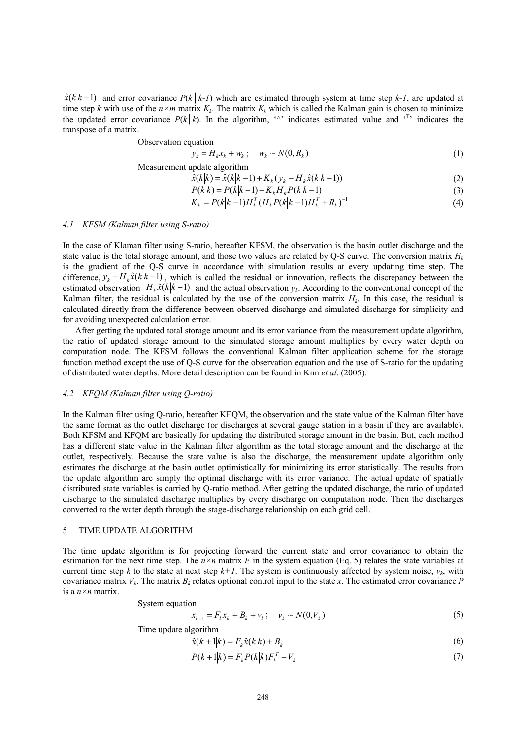$\hat{x}(k|k-1)$  and error covariance  $P(k|k-1)$  which are estimated through system at time step  $k-1$ , are updated at time step *k* with use of the  $n \times m$  matrix  $K_k$ . The matrix  $K_k$  which is called the Kalman gain is chosen to minimize the updated error covariance  $P(k|k)$ . In the algorithm,  $\lambda$  indicates estimated value and  $\lambda$ <sup>T</sup> indicates the transpose of a matrix.

Observation equation

$$
y_k = H_k x_k + w_k \; ; \quad w_k \sim N(0, R_k) \tag{1}
$$

Measurement update algorithm

$$
\hat{x}(k|k) = \hat{x}(k|k-1) + K_k(y_k - H_k\hat{x}(k|k-1))
$$
\n
$$
B(k|k) = B(k|k-1) - K_H B(k|k-1)
$$
\n(2)

$$
P(k|k) = P(k|k-1) - K_k H_k P(k|k-1)
$$
  
\n
$$
K_k = P(k|k-1)H_k^T (H_k P(k|k-1)H_k^T + R_k)^{-1}
$$
\n(3)

$$
K_k = P(k|k-1)H_k^T(H_kP(k|k-1)H_k^T + R_k)^{-1}
$$
\n(4)

#### *4.1 KFSM (Kalman filter using S-ratio)*

In the case of Klaman filter using S-ratio, hereafter KFSM, the observation is the basin outlet discharge and the state value is the total storage amount, and those two values are related by Q-S curve. The conversion matrix  $H_k$ is the gradient of the Q-S curve in accordance with simulation results at every updating time step. The difference,  $y_k - H_k \hat{x}(k|k-1)$ , which is called the residual or innovation, reflects the discrepancy between the estimated observation  $H_k \hat{x}(k|k-1)$  and the actual observation  $y_k$ . According to the conventional concept of the Kalman filter, the residual is calculated by the use of the conversion matrix  $H<sub>k</sub>$ . In this case, the residual is calculated directly from the difference between observed discharge and simulated discharge for simplicity and for avoiding unexpected calculation error.

After getting the updated total storage amount and its error variance from the measurement update algorithm, the ratio of updated storage amount to the simulated storage amount multiplies by every water depth on computation node. The KFSM follows the conventional Kalman filter application scheme for the storage function method except the use of Q-S curve for the observation equation and the use of S-ratio for the updating of distributed water depths. More detail description can be found in Kim *et al*. (2005).

### *4.2 KFQM (Kalman filter using Q-ratio)*

In the Kalman filter using Q-ratio, hereafter KFQM, the observation and the state value of the Kalman filter have the same format as the outlet discharge (or discharges at several gauge station in a basin if they are available). Both KFSM and KFQM are basically for updating the distributed storage amount in the basin. But, each method has a different state value in the Kalman filter algorithm as the total storage amount and the discharge at the outlet, respectively. Because the state value is also the discharge, the measurement update algorithm only estimates the discharge at the basin outlet optimistically for minimizing its error statistically. The results from the update algorithm are simply the optimal discharge with its error variance. The actual update of spatially distributed state variables is carried by Q-ratio method. After getting the updated discharge, the ratio of updated discharge to the simulated discharge multiplies by every discharge on computation node. Then the discharges converted to the water depth through the stage-discharge relationship on each grid cell.

#### 5 TIME UPDATE ALGORITHM

The time update algorithm is for projecting forward the current state and error covariance to obtain the estimation for the next time step. The *n×n* matrix *F* in the system equation (Eq. 5) relates the state variables at current time step *k* to the state at next step  $k+1$ . The system is continuously affected by system noise,  $v_k$ , with covariance matrix  $V_k$ . The matrix  $B_k$  relates optional control input to the state x. The estimated error covariance  $P$ is a *n×n* matrix.

System equation

$$
x_{k+1} = F_k x_k + B_k + v_k; \quad v_k \sim N(0, V_k)
$$
 (5)

Time update algorithm

$$
\hat{x}(k+1|k) = F_k \hat{x}(k|k) + B_k
$$
\n<sup>(6)</sup>

$$
P(k+1|k) = F_k P(k|k) F_k^T + V_k
$$
\n(7)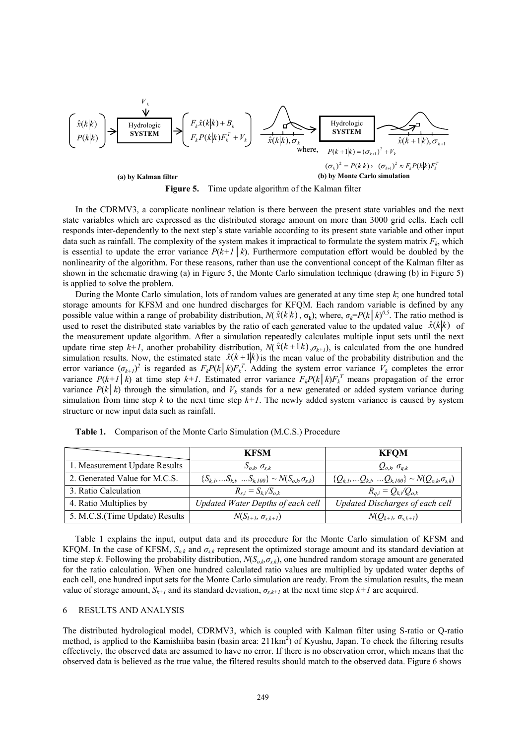

**Figure 5.** Time update algorithm of the Kalman filter

In the CDRMV3, a complicate nonlinear relation is there between the present state variables and the next state variables which are expressed as the distributed storage amount on more than 3000 grid cells. Each cell responds inter-dependently to the next step's state variable according to its present state variable and other input data such as rainfall. The complexity of the system makes it impractical to formulate the system matrix  $F_k$ , which is essential to update the error variance  $P(k+1|\mathbf{k})$ . Furthermore computation effort would be doubled by the nonlinearity of the algorithm. For these reasons, rather than use the conventional concept of the Kalman filter as shown in the schematic drawing (a) in Figure 5, the Monte Carlo simulation technique (drawing (b) in Figure 5) is applied to solve the problem.

During the Monte Carlo simulation, lots of random values are generated at any time step *k*; one hundred total storage amounts for KFSM and one hundred discharges for KFQM. Each random variable is defined by any possible value within a range of probability distribution,  $N(\hat{x}(k|k), \sigma_k)$ ; where,  $\sigma_k = P(k|k)^{0.5}$ . The ratio method is used to reset the distributed state variables by the ratio of each generated value to the updated value  $\hat{x}(k|k)$  of the measurement update algorithm. After a simulation repeatedly calculates multiple input sets until the next update time step  $k+1$ , another probability distribution,  $N(\hat{x}(k+1|k), \sigma_{k+1})$ , is calculated from the one hundred simulation results. Now, the estimated state  $\hat{x}(k+1|k)$  is the mean value of the probability distribution and the error variance  $(\sigma_{k+1})^2$  is regarded as  $F_kP(k|k)F_k^T$ . Adding the system error variance  $V_k$  completes the error variance  $P(k+1|k)$  at time step  $k+1$ . Estimated error variance  $F_kP(k|k)F_k^T$  means propagation of the error variance  $P(k|k)$  through the simulation, and  $V_k$  stands for a new generated or added system variance during simulation from time step  $k$  to the next time step  $k+1$ . The newly added system variance is caused by system structure or new input data such as rainfall.

|                                 | <b>KFSM</b>                                                  | <b>KFOM</b>                                                 |
|---------------------------------|--------------------------------------------------------------|-------------------------------------------------------------|
| 1. Measurement Update Results   | $S_{o,k}$ $\sigma_{s,k}$                                     | $Q_{o,k}$ , $\sigma_{q,k}$                                  |
| 2. Generated Value for M.C.S.   | $\{S_{k,l},S_{k,b}$ $S_{k,l00}\}\sim N(S_{o,k}\sigma_{s,k})$ | ${Q_{k,l},,Q_{k,i},,Q_{k,l00}} \sim N(Q_{o,k}\sigma_{s,k})$ |
| 3. Ratio Calculation            | $R_{s,i} = S_{ki}/S_{o,k}$                                   | $R_{q,i} = Q_{k,i}/Q_{o,k}$                                 |
| 4. Ratio Multiplies by          | Updated Water Depths of each cell                            | Updated Discharges of each cell                             |
| 5. M.C.S. (Time Update) Results | $N(S_{k+1}, \sigma_{s,k+1})$                                 | $N(Q_{k+1}, \sigma_{s,k+1})$                                |

**Table 1.** Comparison of the Monte Carlo Simulation (M.C.S.) Procedure

Table 1 explains the input, output data and its procedure for the Monte Carlo simulation of KFSM and KFQM. In the case of KFSM,  $S_{o,k}$  and  $\sigma_{s,k}$  represent the optimized storage amount and its standard deviation at time step *k*. Following the probability distribution,  $N(S_{o,k}, \sigma_{s,k})$ , one hundred random storage amount are generated for the ratio calculation. When one hundred calculated ratio values are multiplied by updated water depths of each cell, one hundred input sets for the Monte Carlo simulation are ready. From the simulation results, the mean value of storage amount,  $S_{k+1}$  and its standard deviation,  $\sigma_{s,k+1}$  at the next time step  $k+1$  are acquired.

## 6 RESULTS AND ANALYSIS

The distributed hydrological model, CDRMV3, which is coupled with Kalman filter using S-ratio or Q-ratio method, is applied to the Kamishiiba basin (basin area:  $211 \text{km}^2$ ) of Kyushu, Japan. To check the filtering results effectively, the observed data are assumed to have no error. If there is no observation error, which means that the observed data is believed as the true value, the filtered results should match to the observed data. Figure 6 shows